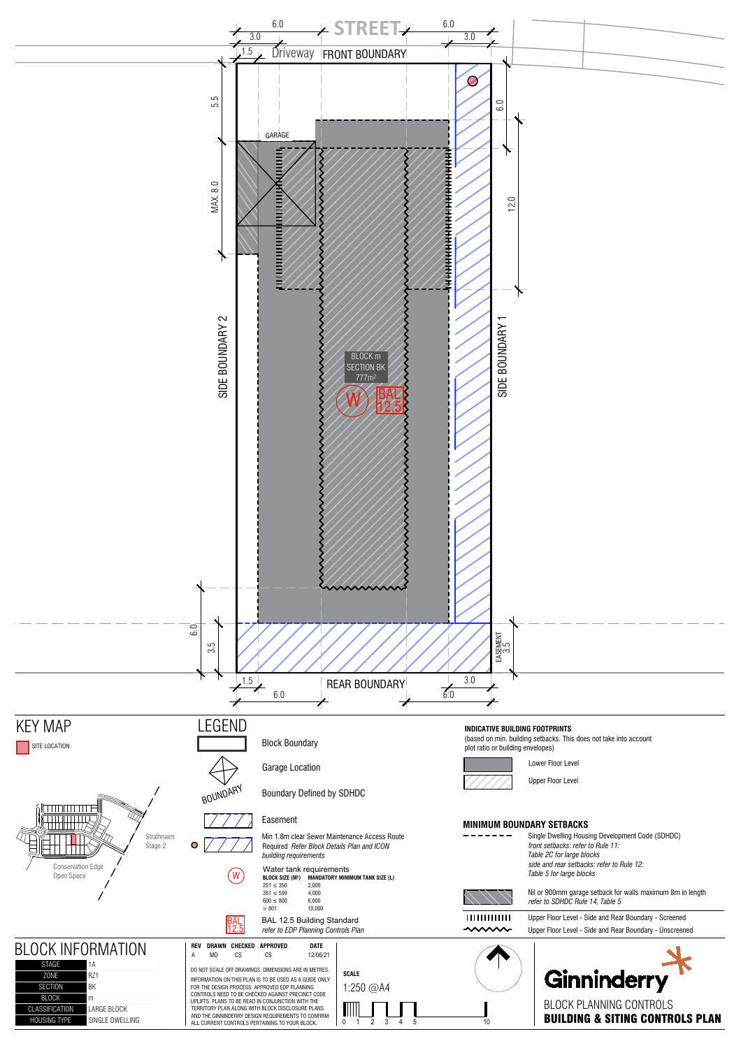